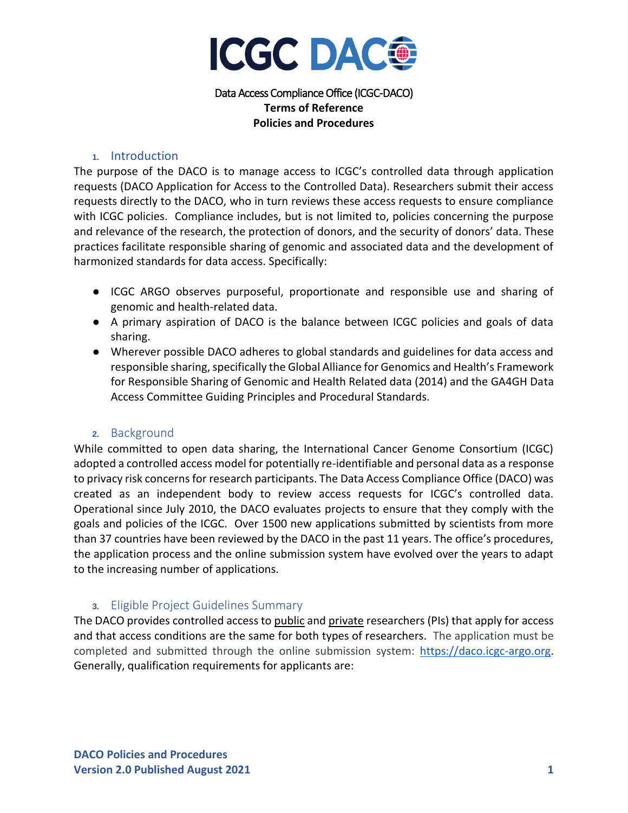

Data Access Compliance Office (ICGC-DACO) **Terms of Reference Policies and Procedures**

#### **1.** Introduction

The purpose of the DACO is to manage access to ICGC's controlled data through application requests (DACO Application for Access to the Controlled Data). Researchers submit their access requests directly to the DACO, who in turn reviews these access requests to ensure compliance with ICGC policies. Compliance includes, but is not limited to, policies concerning the purpose and relevance of the research, the protection of donors, and the security of donors' data. These practices facilitate responsible sharing of genomic and associated data and the development of harmonized standards for data access. Specifically:

- ICGC ARGO observes purposeful, proportionate and responsible use and sharing of genomic and health-related data.
- A primary aspiration of DACO is the balance between ICGC policies and goals of data sharing.
- Wherever possible DACO adheres to global standards and guidelines for data access and responsible sharing, specifically the Global Alliance for Genomics and Health's Framework for Responsible Sharing of Genomic and Health Related data (2014) and the GA4GH Data Access Committee Guiding Principles and Procedural Standards.

#### **2.** Background

While committed to open data sharing, the International Cancer Genome Consortium (ICGC) adopted a controlled access model for potentially re-identifiable and personal data as a response to privacy risk concerns for research participants. The Data Access Compliance Office (DACO) was created as an independent body to review access requests for ICGC's controlled data. Operational since July 2010, the DACO evaluates projects to ensure that they comply with the goals and policies of the ICGC. Over 1500 new applications submitted by scientists from more than 37 countries have been reviewed by the DACO in the past 11 years. The office's procedures, the application process and the online submission system have evolved over the years to adapt to the increasing number of applications.

### **3.** Eligible Project Guidelines Summary

The DACO provides controlled access to public and private researchers (PIs) that apply for access and that access conditions are the same for both types of researchers. The application must be completed and submitted through the online submission system: [https://daco.icgc-argo.org.](https://daco.icgc-argo.org/) Generally, qualification requirements for applicants are: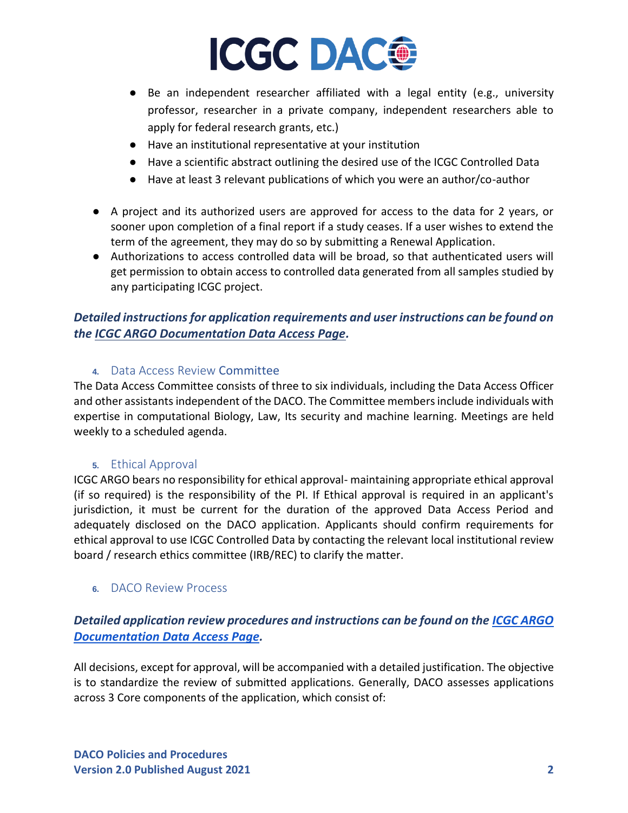# **ICGC DAC®**

- Be an independent researcher affiliated with a legal entity (e.g., university professor, researcher in a private company, independent researchers able to apply for federal research grants, etc.)
- Have an institutional representative at your institution
- Have a scientific abstract outlining the desired use of the ICGC Controlled Data
- Have at least 3 relevant publications of which you were an author/co-author
- A project and its authorized users are approved for access to the data for 2 years, or sooner upon completion of a final report if a study ceases. If a user wishes to extend the term of the agreement, they may do so by submitting a Renewal Application.
- Authorizations to access controlled data will be broad, so that authenticated users will get permission to obtain access to controlled data generated from all samples studied by any participating ICGC project.

## *Detailed instructions for application requirements and user instructions can be found on the [ICGC ARGO Documentation Data Access Page.](https://docs.icgc-argo.org/docs/data-access/data-access)*

### **4.** Data Access Review Committee

The Data Access Committee consists of three to six individuals, including the Data Access Officer and other assistants independent of the DACO. The Committee members include individuals with expertise in computational Biology, Law, Its security and machine learning. Meetings are held weekly to a scheduled agenda.

### **5.** Ethical Approval

ICGC ARGO bears no responsibility for ethical approval- maintaining appropriate ethical approval (if so required) is the responsibility of the PI. If Ethical approval is required in an applicant's jurisdiction, it must be current for the duration of the approved Data Access Period and adequately disclosed on the DACO application. Applicants should confirm requirements for ethical approval to use ICGC Controlled Data by contacting the relevant local institutional review board / research ethics committee (IRB/REC) to clarify the matter.

### **6.** DACO Review Process

## *Detailed application review procedures and instructions can be found on the [ICGC ARGO](https://docs.icgc-argo.org/docs/data-access/daco/approval)  [Documentation Data Access Page.](https://docs.icgc-argo.org/docs/data-access/daco/approval)*

All decisions, except for approval, will be accompanied with a detailed justification. The objective is to standardize the review of submitted applications. Generally, DACO assesses applications across 3 Core components of the application, which consist of: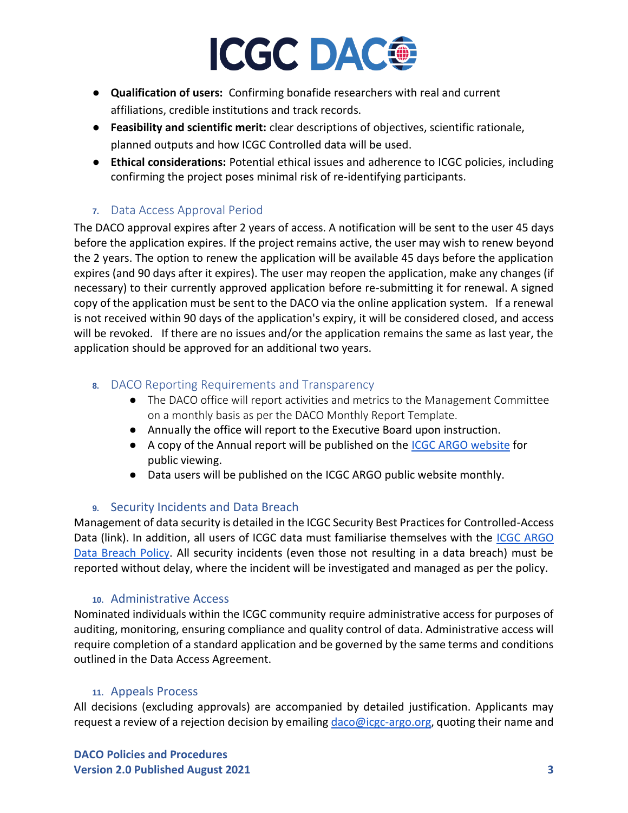# **ICGC DACO**

- **Qualification of users:** Confirming bonafide researchers with real and current affiliations, credible institutions and track records.
- **Feasibility and scientific merit:** clear descriptions of objectives, scientific rationale, planned outputs and how ICGC Controlled data will be used.
- **Ethical considerations:** Potential ethical issues and adherence to ICGC policies, including confirming the project poses minimal risk of re-identifying participants.

## **7.** Data Access Approval Period

The DACO approval expires after 2 years of access. A notification will be sent to the user 45 days before the application expires. If the project remains active, the user may wish to renew beyond the 2 years. The option to renew the application will be available 45 days before the application expires (and 90 days after it expires). The user may reopen the application, make any changes (if necessary) to their currently approved application before re-submitting it for renewal. A signed copy of the application must be sent to the DACO via the online application system. If a renewal is not received within 90 days of the application's expiry, it will be considered closed, and access will be revoked. If there are no issues and/or the application remains the same as last year, the application should be approved for an additional two years.

## **8.** DACO Reporting Requirements and Transparency

- The DACO office will report activities and metrics to the Management Committee on a monthly basis as per the DACO Monthly Report Template.
- Annually the office will report to the Executive Board upon instruction.
- A copy of the Annual report will be published on the [ICGC ARGO website](http://www.icgc-argo.org/) for public viewing.
- Data users will be published on the ICGC ARGO public website monthly.

## **9.** Security Incidents and Data Breach

Management of data security is detailed in the ICGC Security Best Practices for Controlled-Access Data (link). In addition, all users of ICGC data must familiarise themselves with the [ICGC ARGO](https://www.icgc-argo.org/page/137/e84-data-breach-policy-)  [Data Breach Policy.](https://www.icgc-argo.org/page/137/e84-data-breach-policy-) All security incidents (even those not resulting in a data breach) must be reported without delay, where the incident will be investigated and managed as per the policy.

## **10.** Administrative Access

Nominated individuals within the ICGC community require administrative access for purposes of auditing, monitoring, ensuring compliance and quality control of data. Administrative access will require completion of a standard application and be governed by the same terms and conditions outlined in the Data Access Agreement.

## **11.** Appeals Process

All decisions (excluding approvals) are accompanied by detailed justification. Applicants may request a review of a rejection decision by emailing [daco@icgc-argo.org,](mailto:daco@icgc-argo.org) quoting their name and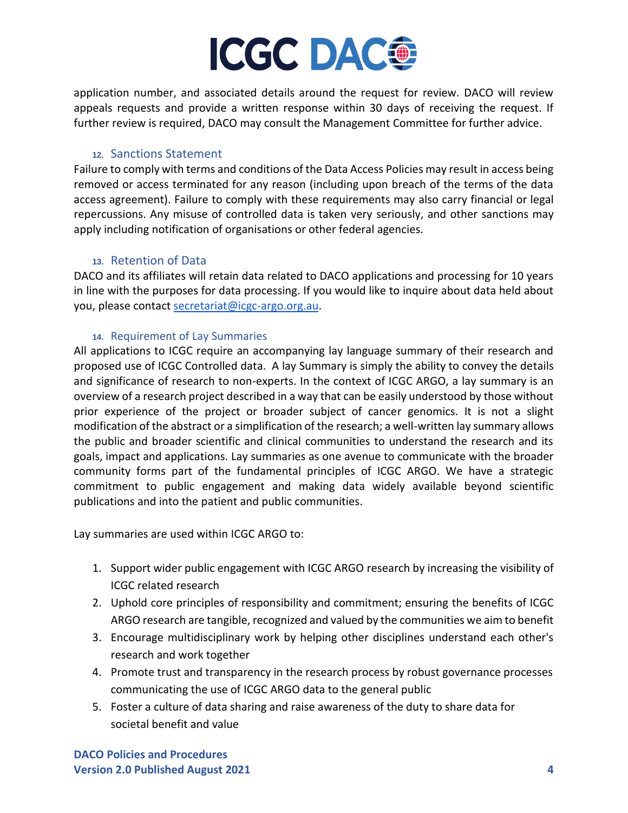

application number, and associated details around the request for review. DACO will review appeals requests and provide a written response within 30 days of receiving the request. If further review is required, DACO may consult the Management Committee for further advice.

### **12.** Sanctions Statement

Failure to comply with terms and conditions of the Data Access Policies may result in access being removed or access terminated for any reason (including upon breach of the terms of the data access agreement). Failure to comply with these requirements may also carry financial or legal repercussions. Any misuse of controlled data is taken very seriously, and other sanctions may apply including notification of organisations or other federal agencies.

### **13.** Retention of Data

DACO and its affiliates will retain data related to DACO applications and processing for 10 years in line with the purposes for data processing. If you would like to inquire about data held about you, please contact [secretariat@icgc-argo.org.au.](mailto:secretariat@icgc-argo.org)

### **14.** Requirement of Lay Summaries

All applications to ICGC require an accompanying lay language summary of their research and proposed use of ICGC Controlled data. A lay Summary is simply the ability to convey the details and significance of research to non-experts. In the context of ICGC ARGO, a lay summary is an overview of a research project described in a way that can be easily understood by those without prior experience of the project or broader subject of cancer genomics. It is not a slight modification of the abstract or a simplification of the research; a well-written lay summary allows the public and broader scientific and clinical communities to understand the research and its goals, impact and applications. Lay summaries as one avenue to communicate with the broader community forms part of the fundamental principles of ICGC ARGO. We have a strategic commitment to public engagement and making data widely available beyond scientific publications and into the patient and public communities.

Lay summaries are used within ICGC ARGO to:

- 1. Support wider public engagement with ICGC ARGO research by increasing the visibility of ICGC related research
- 2. Uphold core principles of responsibility and commitment; ensuring the benefits of ICGC ARGO research are tangible, recognized and valued by the communities we aim to benefit
- 3. Encourage multidisciplinary work by helping other disciplines understand each other's research and work together
- 4. Promote trust and transparency in the research process by robust governance processes communicating the use of ICGC ARGO data to the general public
- 5. Foster a culture of data sharing and raise awareness of the duty to share data for societal benefit and value

**DACO Policies and Procedures Version 2.0 Published August 2021 4**